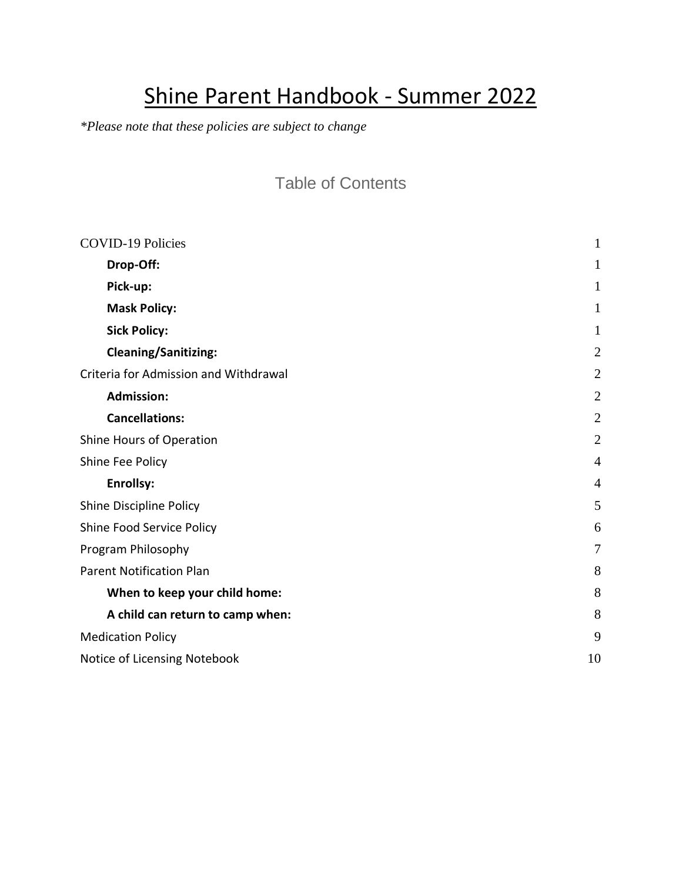# Shine Parent Handbook - Summer 2022

*\*Please note that these policies are subject to change* 

### Table of Contents

| <b>COVID-19 Policies</b>              | 1              |
|---------------------------------------|----------------|
| Drop-Off:                             | 1              |
| Pick-up:                              | 1              |
| <b>Mask Policy:</b>                   | 1              |
| <b>Sick Policy:</b>                   | 1              |
| <b>Cleaning/Sanitizing:</b>           | $\overline{2}$ |
| Criteria for Admission and Withdrawal | $\overline{2}$ |
| <b>Admission:</b>                     | $\overline{2}$ |
| <b>Cancellations:</b>                 | $\overline{2}$ |
| Shine Hours of Operation              | $\overline{2}$ |
| Shine Fee Policy                      | $\overline{4}$ |
| <b>Enrollsy:</b>                      | $\overline{4}$ |
| Shine Discipline Policy               | 5              |
| Shine Food Service Policy             | 6              |
| Program Philosophy                    | $\overline{7}$ |
| <b>Parent Notification Plan</b>       | 8              |
| When to keep your child home:         | 8              |
| A child can return to camp when:      | 8              |
| <b>Medication Policy</b>              | 9              |
| Notice of Licensing Notebook          | 10             |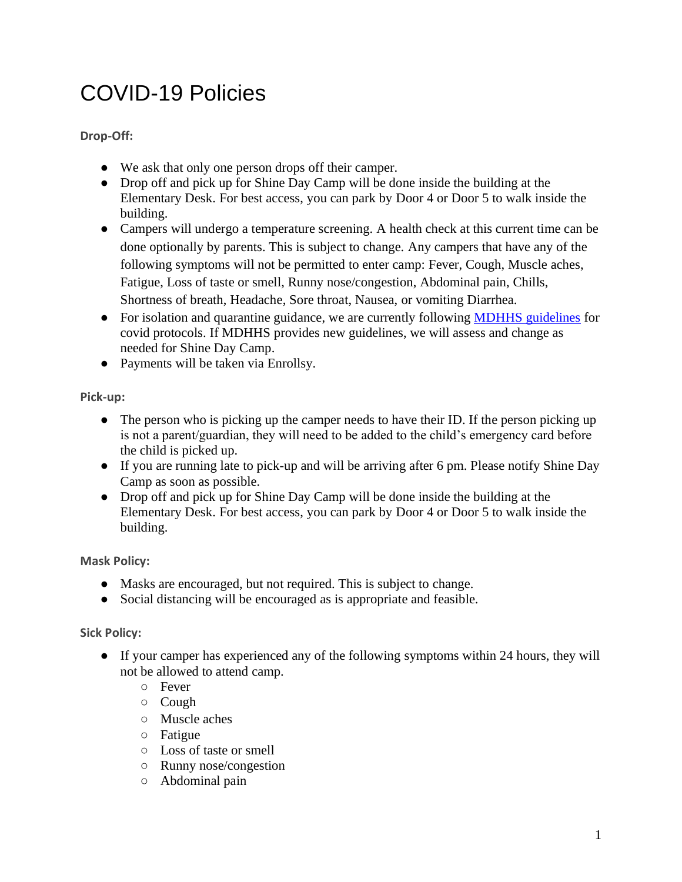# <span id="page-1-0"></span>COVID-19 Policies

<span id="page-1-1"></span>**Drop-Off:** 

- We ask that only one person drops off their camper.
- Drop off and pick up for Shine Day Camp will be done inside the building at the Elementary Desk. For best access, you can park by Door 4 or Door 5 to walk inside the building.
- Campers will undergo a temperature screening. A health check at this current time can be done optionally by parents. This is subject to change. Any campers that have any of the following symptoms will not be permitted to enter camp: Fever, Cough, Muscle aches, Fatigue, Loss of taste or smell, Runny nose/congestion, Abdominal pain, Chills, Shortness of breath, Headache, Sore throat, Nausea, or vomiting Diarrhea.
- For isolation and quarantine guidance, we are currently following [MDHHS guidelines](https://www.michigan.gov/documents/coronavirus/MDHHS_IQ_Guidance_-_Recovery_Phase_3.7.22_749780_7.pdf) for covid protocols. If MDHHS provides new guidelines, we will assess and change as needed for Shine Day Camp.
- Payments will be taken via Enrollsy.

<span id="page-1-2"></span>**Pick-up:**

- The person who is picking up the camper needs to have their ID. If the person picking up is not a parent/guardian, they will need to be added to the child's emergency card before the child is picked up.
- If you are running late to pick-up and will be arriving after 6 pm. Please notify Shine Day Camp as soon as possible.
- Drop off and pick up for Shine Day Camp will be done inside the building at the Elementary Desk. For best access, you can park by Door 4 or Door 5 to walk inside the building.

<span id="page-1-3"></span>**Mask Policy:**

- Masks are encouraged, but not required. This is subject to change.
- Social distancing will be encouraged as is appropriate and feasible.

### <span id="page-1-4"></span>**Sick Policy:**

- If your camper has experienced any of the following symptoms within 24 hours, they will not be allowed to attend camp.
	- Fever
	- Cough
	- Muscle aches
	- Fatigue
	- Loss of taste or smell
	- Runny nose/congestion
	- Abdominal pain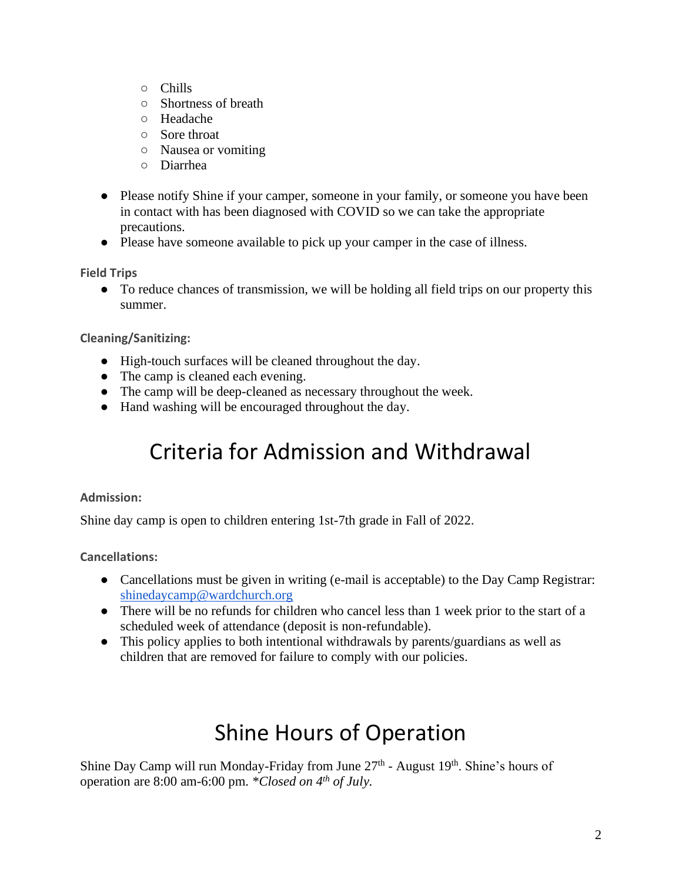- Chills
- Shortness of breath
- Headache
- Sore throat
- Nausea or vomiting
- Diarrhea
- Please notify Shine if your camper, someone in your family, or someone you have been in contact with has been diagnosed with COVID so we can take the appropriate precautions.
- Please have someone available to pick up your camper in the case of illness.

**Field Trips**

● To reduce chances of transmission, we will be holding all field trips on our property this summer.

<span id="page-2-0"></span>**Cleaning/Sanitizing:**

- High-touch surfaces will be cleaned throughout the day.
- The camp is cleaned each evening.
- The camp will be deep-cleaned as necessary throughout the week.
- <span id="page-2-1"></span>● Hand washing will be encouraged throughout the day.

### Criteria for Admission and Withdrawal

#### <span id="page-2-2"></span>**Admission:**

Shine day camp is open to children entering 1st-7th grade in Fall of 2022.

<span id="page-2-3"></span>**Cancellations:** 

- Cancellations must be given in writing (e-mail is acceptable) to the Day Camp Registrar: [shinedaycamp@wardchurch.org](mailto:shinedaycamp@wardchurch.org)
- There will be no refunds for children who cancel less than 1 week prior to the start of a scheduled week of attendance (deposit is non-refundable).
- This policy applies to both intentional withdrawals by parents/guardians as well as children that are removed for failure to comply with our policies.

# Shine Hours of Operation

<span id="page-2-4"></span>Shine Day Camp will run Monday-Friday from June 27<sup>th</sup> - August 19<sup>th</sup>. Shine's hours of operation are 8:00 am-6:00 pm. *\*Closed on 4th of July.*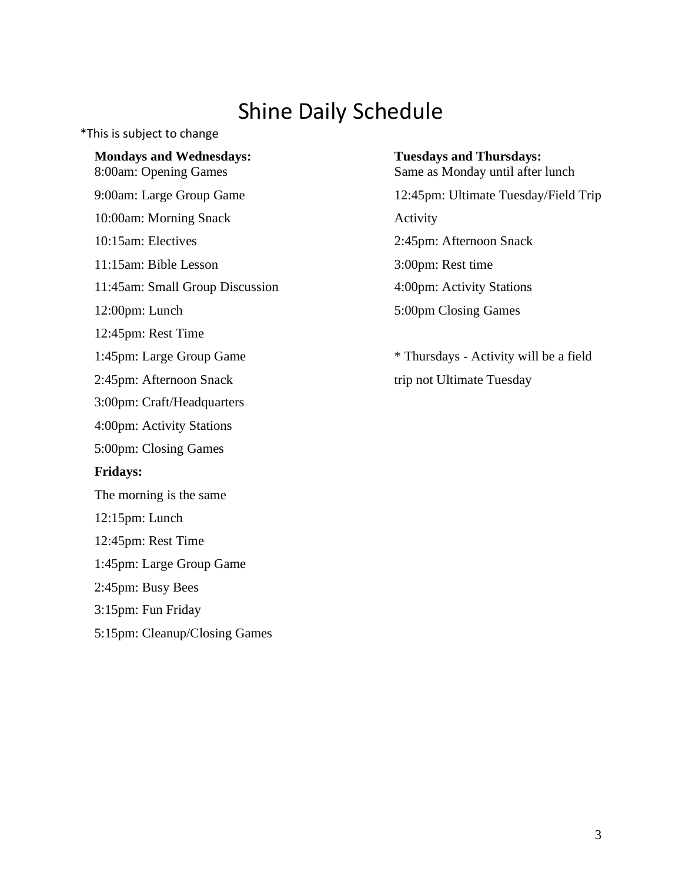### Shine Daily Schedule

\*This is subject to change

**Mondays and Wednesdays:** 8:00am: Opening Games 9:00am: Large Group Game

10:00am: Morning Snack

10:15am: Electives

11:15am: Bible Lesson

11:45am: Small Group Discussion

12:00pm: Lunch

12:45pm: Rest Time

1:45pm: Large Group Game

2:45pm: Afternoon Snack

3:00pm: Craft/Headquarters

4:00pm: Activity Stations

5:00pm: Closing Games

#### **Fridays:**

The morning is the same

12:15pm: Lunch

12:45pm: Rest Time

1:45pm: Large Group Game

2:45pm: Busy Bees

3:15pm: Fun Friday

5:15pm: Cleanup/Closing Games

#### **Tuesdays and Thursdays:**

Same as Monday until after lunch

12:45pm: Ultimate Tuesday/Field Trip Activity 2:45pm: Afternoon Snack 3:00pm: Rest time 4:00pm: Activity Stations 5:00pm Closing Games

\* Thursdays - Activity will be a field trip not Ultimate Tuesday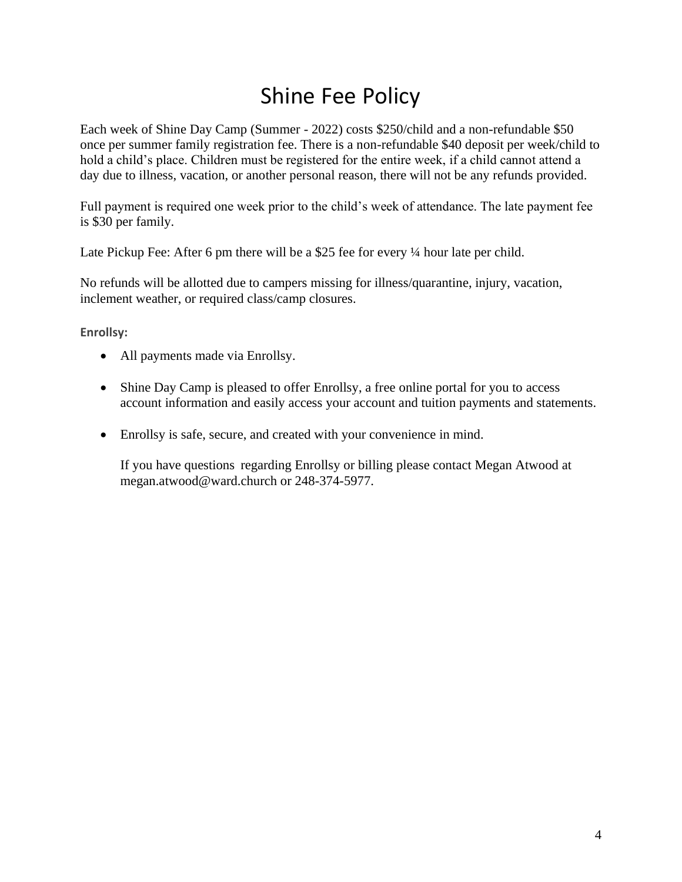# Shine Fee Policy

<span id="page-4-0"></span>Each week of Shine Day Camp (Summer - 2022) costs \$250/child and a non-refundable \$50 once per summer family registration fee. There is a non-refundable \$40 deposit per week/child to hold a child's place. Children must be registered for the entire week, if a child cannot attend a day due to illness, vacation, or another personal reason, there will not be any refunds provided.

Full payment is required one week prior to the child's week of attendance. The late payment fee is \$30 per family.

Late Pickup Fee: After 6 pm there will be a \$25 fee for every  $\frac{1}{4}$  hour late per child.

No refunds will be allotted due to campers missing for illness/quarantine, injury, vacation, inclement weather, or required class/camp closures.

<span id="page-4-1"></span>**Enrollsy:**

- All payments made via Enrollsy.
- Shine Day Camp is pleased to offer Enrollsy, a free online portal for you to access account information and easily access your account and tuition payments and statements.
- Enrollsy is safe, secure, and created with your convenience in mind.

If you have questions regarding Enrollsy or billing please contact Megan Atwood at megan.atwood@ward.church or 248-374-5977.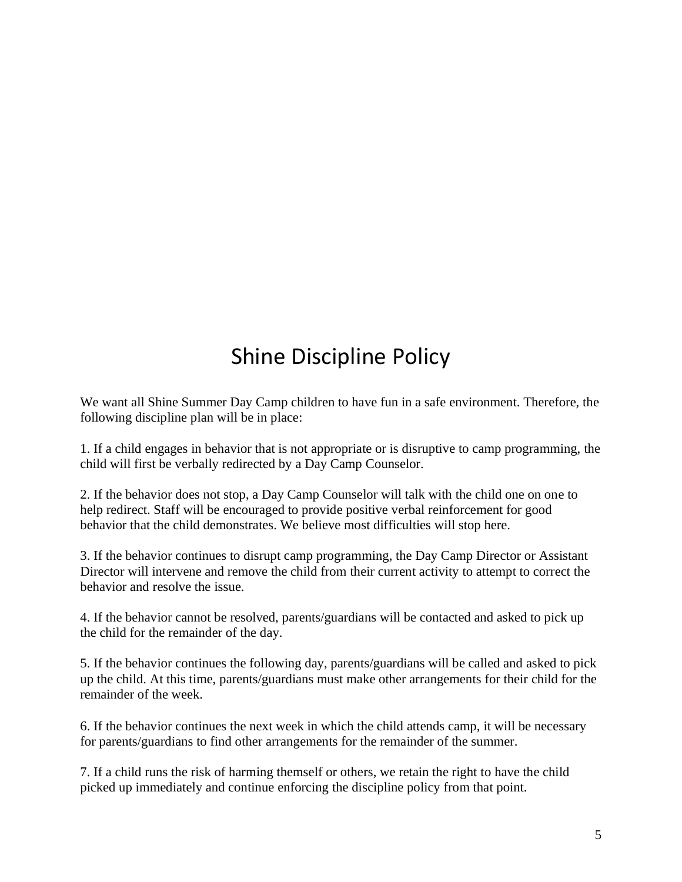# Shine Discipline Policy

<span id="page-5-0"></span>We want all Shine Summer Day Camp children to have fun in a safe environment. Therefore, the following discipline plan will be in place:

1. If a child engages in behavior that is not appropriate or is disruptive to camp programming, the child will first be verbally redirected by a Day Camp Counselor.

2. If the behavior does not stop, a Day Camp Counselor will talk with the child one on one to help redirect. Staff will be encouraged to provide positive verbal reinforcement for good behavior that the child demonstrates. We believe most difficulties will stop here.

3. If the behavior continues to disrupt camp programming, the Day Camp Director or Assistant Director will intervene and remove the child from their current activity to attempt to correct the behavior and resolve the issue.

4. If the behavior cannot be resolved, parents/guardians will be contacted and asked to pick up the child for the remainder of the day.

5. If the behavior continues the following day, parents/guardians will be called and asked to pick up the child. At this time, parents/guardians must make other arrangements for their child for the remainder of the week.

6. If the behavior continues the next week in which the child attends camp, it will be necessary for parents/guardians to find other arrangements for the remainder of the summer.

7. If a child runs the risk of harming themself or others, we retain the right to have the child picked up immediately and continue enforcing the discipline policy from that point.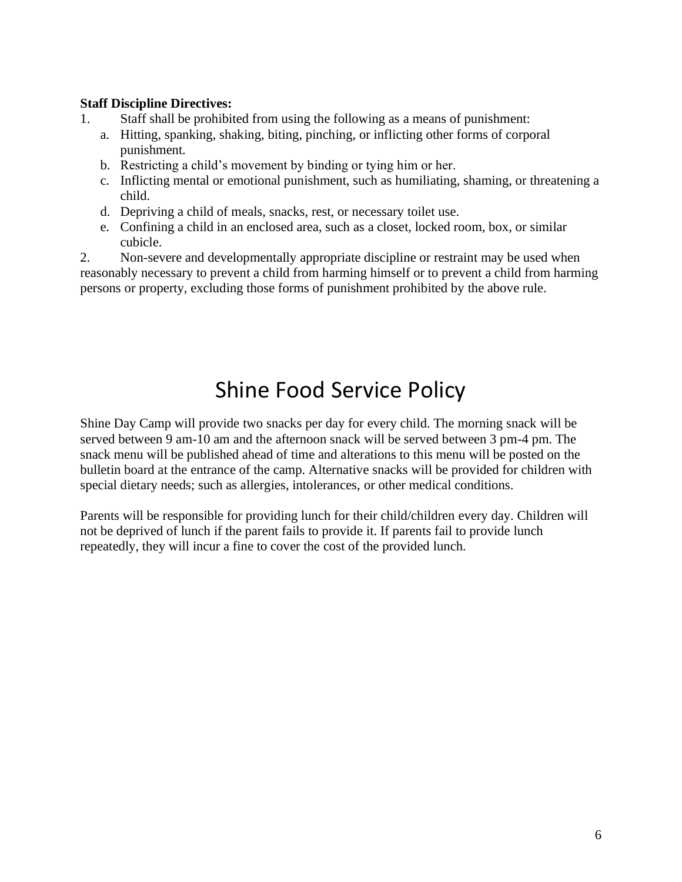### **Staff Discipline Directives:**

- 1. Staff shall be prohibited from using the following as a means of punishment:
	- a. Hitting, spanking, shaking, biting, pinching, or inflicting other forms of corporal punishment.
	- b. Restricting a child's movement by binding or tying him or her.
	- c. Inflicting mental or emotional punishment, such as humiliating, shaming, or threatening a child.
	- d. Depriving a child of meals, snacks, rest, or necessary toilet use.
	- e. Confining a child in an enclosed area, such as a closet, locked room, box, or similar cubicle.

2. Non-severe and developmentally appropriate discipline or restraint may be used when reasonably necessary to prevent a child from harming himself or to prevent a child from harming persons or property, excluding those forms of punishment prohibited by the above rule.

### Shine Food Service Policy

<span id="page-6-0"></span>Shine Day Camp will provide two snacks per day for every child. The morning snack will be served between 9 am-10 am and the afternoon snack will be served between 3 pm-4 pm. The snack menu will be published ahead of time and alterations to this menu will be posted on the bulletin board at the entrance of the camp. Alternative snacks will be provided for children with special dietary needs; such as allergies, intolerances, or other medical conditions.

Parents will be responsible for providing lunch for their child/children every day. Children will not be deprived of lunch if the parent fails to provide it. If parents fail to provide lunch repeatedly, they will incur a fine to cover the cost of the provided lunch.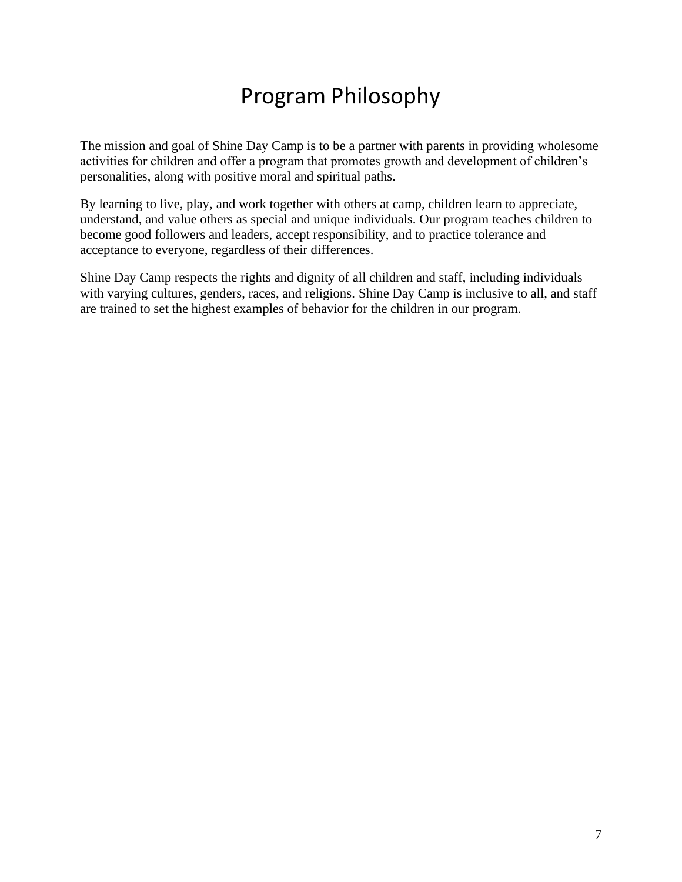### Program Philosophy

<span id="page-7-0"></span>The mission and goal of Shine Day Camp is to be a partner with parents in providing wholesome activities for children and offer a program that promotes growth and development of children's personalities, along with positive moral and spiritual paths.

By learning to live, play, and work together with others at camp, children learn to appreciate, understand, and value others as special and unique individuals. Our program teaches children to become good followers and leaders, accept responsibility, and to practice tolerance and acceptance to everyone, regardless of their differences.

Shine Day Camp respects the rights and dignity of all children and staff, including individuals with varying cultures, genders, races, and religions. Shine Day Camp is inclusive to all, and staff are trained to set the highest examples of behavior for the children in our program.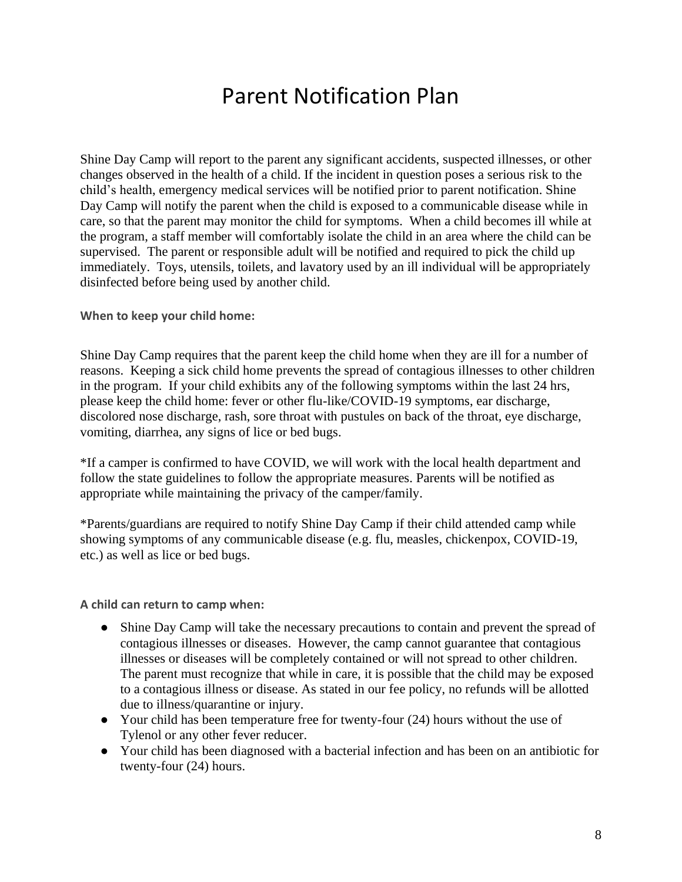### Parent Notification Plan

<span id="page-8-0"></span>Shine Day Camp will report to the parent any significant accidents, suspected illnesses, or other changes observed in the health of a child. If the incident in question poses a serious risk to the child's health, emergency medical services will be notified prior to parent notification. Shine Day Camp will notify the parent when the child is exposed to a communicable disease while in care, so that the parent may monitor the child for symptoms. When a child becomes ill while at the program, a staff member will comfortably isolate the child in an area where the child can be supervised. The parent or responsible adult will be notified and required to pick the child up immediately. Toys, utensils, toilets, and lavatory used by an ill individual will be appropriately disinfected before being used by another child.

<span id="page-8-1"></span>**When to keep your child home:**

Shine Day Camp requires that the parent keep the child home when they are ill for a number of reasons. Keeping a sick child home prevents the spread of contagious illnesses to other children in the program. If your child exhibits any of the following symptoms within the last 24 hrs, please keep the child home: fever or other flu-like/COVID-19 symptoms, ear discharge, discolored nose discharge, rash, sore throat with pustules on back of the throat, eye discharge, vomiting, diarrhea, any signs of lice or bed bugs.

\*If a camper is confirmed to have COVID, we will work with the local health department and follow the state guidelines to follow the appropriate measures. Parents will be notified as appropriate while maintaining the privacy of the camper/family.

\*Parents/guardians are required to notify Shine Day Camp if their child attended camp while showing symptoms of any communicable disease (e.g. flu, measles, chickenpox, COVID-19, etc.) as well as lice or bed bugs.

<span id="page-8-2"></span>**A child can return to camp when:**

- Shine Day Camp will take the necessary precautions to contain and prevent the spread of contagious illnesses or diseases. However, the camp cannot guarantee that contagious illnesses or diseases will be completely contained or will not spread to other children. The parent must recognize that while in care, it is possible that the child may be exposed to a contagious illness or disease. As stated in our fee policy, no refunds will be allotted due to illness/quarantine or injury.
- Your child has been temperature free for twenty-four (24) hours without the use of Tylenol or any other fever reducer.
- Your child has been diagnosed with a bacterial infection and has been on an antibiotic for twenty-four (24) hours.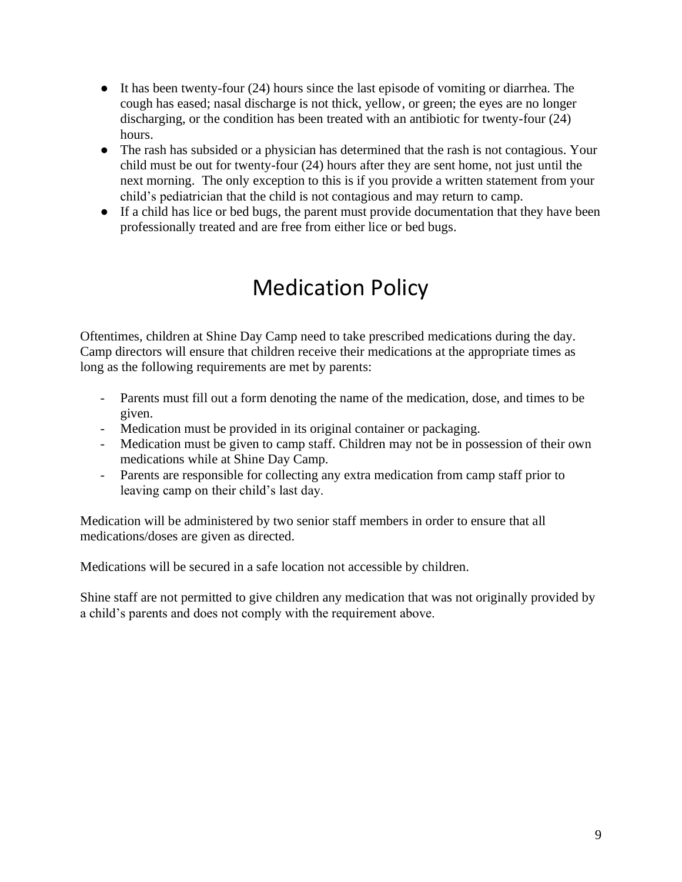- It has been twenty-four (24) hours since the last episode of vomiting or diarrhea. The cough has eased; nasal discharge is not thick, yellow, or green; the eyes are no longer discharging, or the condition has been treated with an antibiotic for twenty-four (24) hours.
- The rash has subsided or a physician has determined that the rash is not contagious. Your child must be out for twenty-four (24) hours after they are sent home, not just until the next morning. The only exception to this is if you provide a written statement from your child's pediatrician that the child is not contagious and may return to camp.
- <span id="page-9-0"></span>● If a child has lice or bed bugs, the parent must provide documentation that they have been professionally treated and are free from either lice or bed bugs.

### Medication Policy

Oftentimes, children at Shine Day Camp need to take prescribed medications during the day. Camp directors will ensure that children receive their medications at the appropriate times as long as the following requirements are met by parents:

- Parents must fill out a form denoting the name of the medication, dose, and times to be given.
- Medication must be provided in its original container or packaging.
- Medication must be given to camp staff. Children may not be in possession of their own medications while at Shine Day Camp.
- Parents are responsible for collecting any extra medication from camp staff prior to leaving camp on their child's last day.

Medication will be administered by two senior staff members in order to ensure that all medications/doses are given as directed.

Medications will be secured in a safe location not accessible by children.

Shine staff are not permitted to give children any medication that was not originally provided by a child's parents and does not comply with the requirement above.